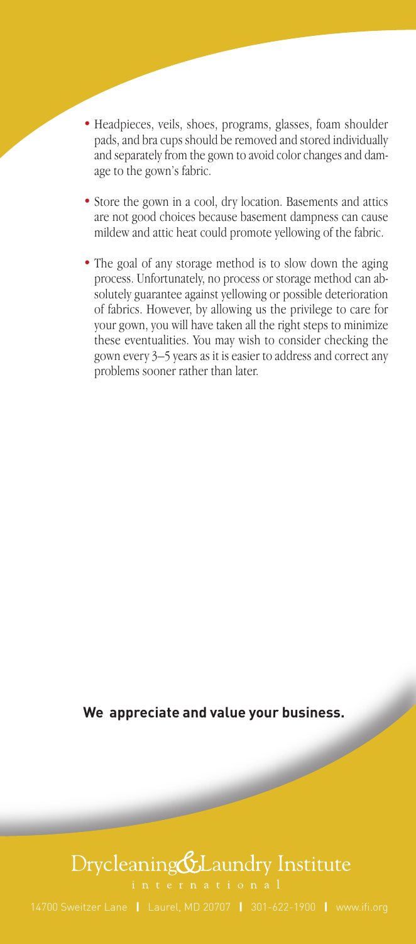- Headpieces, veils, shoes, programs, glasses, foam shoulder pads, and bra cups should be removed and stored individually and separately from the gown to avoid color changes and damage to the gown's fabric.
- Store the gown in a cool, dry location. Basements and attics are not good choices because basement dampness can cause mildew and attic heat could promote yellowing of the fabric.
- The goal of any storage method is to slow down the aging process. Unfortunately, no process or storage method can absolutely guarantee against yellowing or possible deterioration of fabrics. However, by allowing us the privilege to care for your gown, you will have taken all the right steps to minimize these eventualities. You may wish to consider checking the gown every 3–5 years as it is easier to address and correct any problems sooner rather than later.

**We appreciate and value your business.**

## Drycleaning&Laundry Institute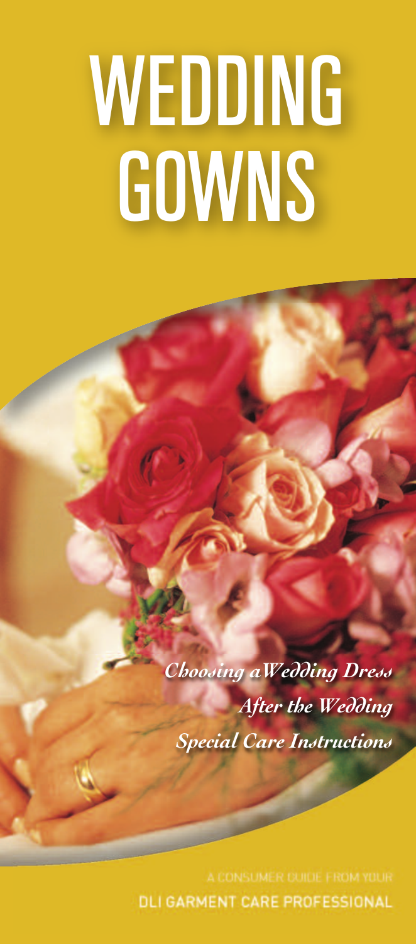## *WEDDING GOWNS*

*Choosing aWedding Dress After the Wedding Special Care Instructions*

DLI GARMENT CARE PROFESSIONAL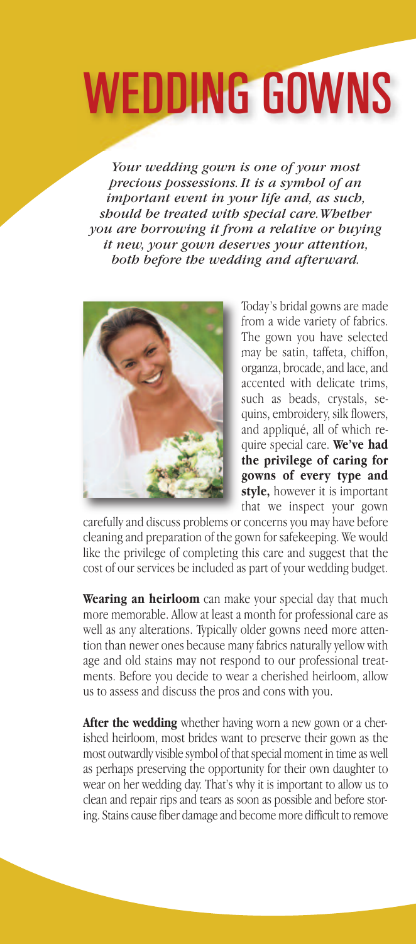## WEDDING GOWNS

*Your wedding gown is one of your most precious possessions.It is a symbol of an important event in your life and, as such, should be treated with special care.Whether you are borrowing it from a relative or buying it new, your gown deserves your attention, both before the wedding and afterward.*



Today's bridal gowns are made from a wide variety of fabrics. The gown you have selected may be satin, taffeta, chiffon, organza, brocade, and lace, and accented with delicate trims, such as beads, crystals, sequins, embroidery, silk flowers, and appliqué, all of which require special care. **We've had the privilege of caring for gowns of every type and style,** however it is important that we inspect your gown

carefully and discuss problems or concerns you may have before cleaning and preparation of the gown for safekeeping. We would like the privilege of completing this care and suggest that the cost of our services be included as part of your wedding budget.

**Wearing an heirloom** can make your special day that much more memorable. Allow at least a month for professional care as well as any alterations. Typically older gowns need more attention than newer ones because many fabrics naturally yellow with age and old stains may not respond to our professional treatments. Before you decide to wear a cherished heirloom, allow us to assess and discuss the pros and cons with you.

**After the wedding** whether having worn a new gown or a cherished heirloom, most brides want to preserve their gown as the most outwardly visible symbol of that special moment in time as well as perhaps preserving the opportunity for their own daughter to wear on her wedding day. That's why it is important to allow us to clean and repair rips and tears as soon as possible and before storing. Stains cause fiber damage and become more difficult to remove